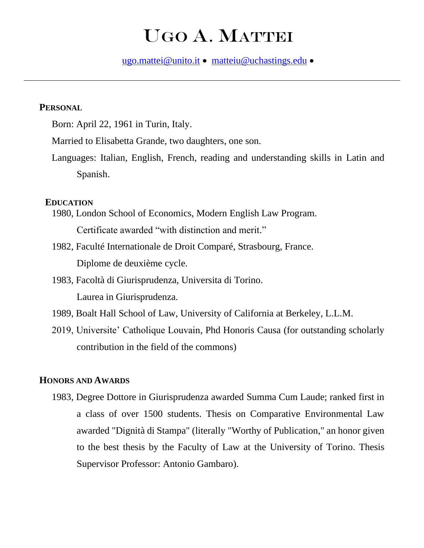# UGO A. MATTEI

[ugo.mattei@unito.it](mailto:ugo.mattei@unito.it) • [matteiu@uchastings.edu](mailto:matteiu@uchastings.edu) •

# **PERSONAL**

Born: April 22, 1961 in Turin, Italy.

Married to Elisabetta Grande, two daughters, one son.

Languages: Italian, English, French, reading and understanding skills in Latin and Spanish.

## **EDUCATION**

1980, London School of Economics, Modern English Law Program. Certificate awarded "with distinction and merit."

- 1982, Faculté Internationale de Droit Comparé, Strasbourg, France. Diplome de deuxième cycle.
- 1983, Facoltà di Giurisprudenza, Universita di Torino. Laurea in Giurisprudenza.
- 1989, Boalt Hall School of Law, University of California at Berkeley, L.L.M.

2019, Universite' Catholique Louvain, Phd Honoris Causa (for outstanding scholarly contribution in the field of the commons)

#### **HONORS AND AWARDS**

1983, Degree Dottore in Giurisprudenza awarded Summa Cum Laude; ranked first in a class of over 1500 students. Thesis on Comparative Environmental Law awarded "Dignità di Stampa" (literally "Worthy of Publication," an honor given to the best thesis by the Faculty of Law at the University of Torino. Thesis Supervisor Professor: Antonio Gambaro).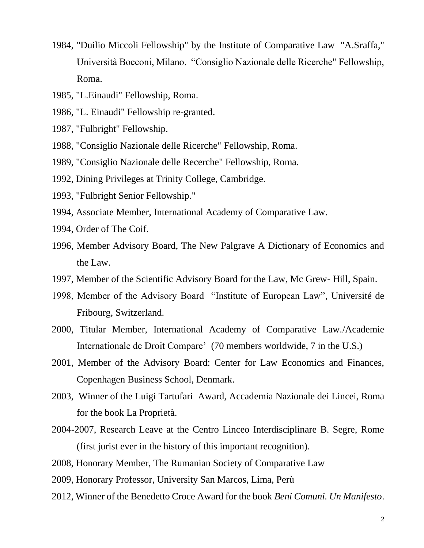- 1984, "Duilio Miccoli Fellowship" by the Institute of Comparative Law "A.Sraffa," Università Bocconi, Milano. "Consiglio Nazionale delle Ricerche" Fellowship, Roma.
- 1985, "L.Einaudi" Fellowship, Roma.
- 1986, "L. Einaudi" Fellowship re-granted.
- 1987, "Fulbright" Fellowship.
- 1988, "Consiglio Nazionale delle Ricerche" Fellowship, Roma.
- 1989, "Consiglio Nazionale delle Recerche" Fellowship, Roma.
- 1992, Dining Privileges at Trinity College, Cambridge.
- 1993, "Fulbright Senior Fellowship."
- 1994, Associate Member, International Academy of Comparative Law.
- 1994, Order of The Coif.
- 1996, Member Advisory Board, The New Palgrave A Dictionary of Economics and the Law.
- 1997, Member of the Scientific Advisory Board for the Law, Mc Grew- Hill, Spain.
- 1998, Member of the Advisory Board "Institute of European Law", Université de Fribourg, Switzerland.
- 2000, Titular Member, International Academy of Comparative Law./Academie Internationale de Droit Compare' (70 members worldwide, 7 in the U.S.)
- 2001, Member of the Advisory Board: Center for Law Economics and Finances, Copenhagen Business School, Denmark.
- 2003, Winner of the Luigi Tartufari Award, Accademia Nazionale dei Lincei, Roma for the book La Proprietà.
- 2004-2007, Research Leave at the Centro Linceo Interdisciplinare B. Segre, Rome (first jurist ever in the history of this important recognition).
- 2008, Honorary Member, The Rumanian Society of Comparative Law
- 2009, Honorary Professor, University San Marcos, Lima, Perù
- 2012, Winner of the Benedetto Croce Award for the book *Beni Comuni. Un Manifesto*.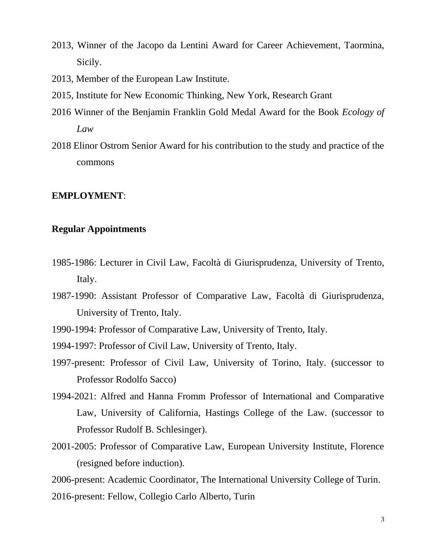- 2013, Winner of the Jacopo da Lentini Award for Career Achievement, Taormina, Sicily.
- 2013, Member of the European Law Institute.
- 2015, Institute for New Economic Thinking, New York, Research Grant
- 2016 Winner of the Benjamin Franklin Gold Medal Award for the Book *Ecology of Law*
- 2018 Elinor Ostrom Senior Award for his contribution to the study and practice of the commons

## **EMPLOYMENT**:

# **Regular Appointments**

- 1985-1986: Lecturer in Civil Law, Facoltà di Giurisprudenza, University of Trento, Italy.
- 1987-1990: Assistant Professor of Comparative Law, Facoltà di Giurisprudenza, University of Trento, Italy.
- 1990-1994: Professor of Comparative Law, University of Trento, Italy.
- 1994-1997: Professor of Civil Law, University of Trento, Italy.
- 1997-present: Professor of Civil Law, University of Torino, Italy. (successor to Professor Rodolfo Sacco)
- 1994-2021: Alfred and Hanna Fromm Professor of International and Comparative Law, University of California, Hastings College of the Law. (successor to Professor Rudolf B. Schlesinger).
- 2001-2005: Professor of Comparative Law, European University Institute, Florence (resigned before induction).
- 2006-present: Academic Coordinator, The International University College of Turin.
- 2016-present: Fellow, Collegio Carlo Alberto, Turin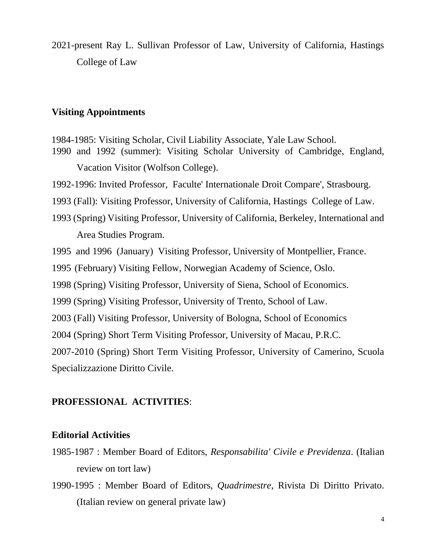2021-present Ray L. Sullivan Professor of Law, University of California, Hastings College of Law

# **Visiting Appointments**

 1984-1985: Visiting Scholar, Civil Liability Associate, Yale Law School. 1990 and 1992 (summer): Visiting Scholar University of Cambridge, England, Vacation Visitor (Wolfson College).

1992-1996: Invited Professor, Faculte' Internationale Droit Compare', Strasbourg.

1993 (Fall): Visiting Professor, University of California, Hastings College of Law.

1993 (Spring) Visiting Professor, University of California, Berkeley, International and Area Studies Program.

1995 and 1996 (January) Visiting Professor, University of Montpellier, France.

1995 (February) Visiting Fellow, Norwegian Academy of Science, Oslo.

1998 (Spring) Visiting Professor, University of Siena, School of Economics.

1999 (Spring) Visiting Professor, University of Trento, School of Law.

2003 (Fall) Visiting Professor, University of Bologna, School of Economics

2004 (Spring) Short Term Visiting Professor, University of Macau, P.R.C.

2007-2010 (Spring) Short Term Visiting Professor, University of Camerino, Scuola Specializzazione Diritto Civile.

# **PROFESSIONAL ACTIVITIES**:

# **Editorial Activities**

- 1985-1987 : Member Board of Editors, *Responsabilita' Civile e Previdenza*. (Italian review on tort law)
- 1990-1995 : Member Board of Editors, *Quadrimestre*, Rivista Di Diritto Privato. (Italian review on general private law)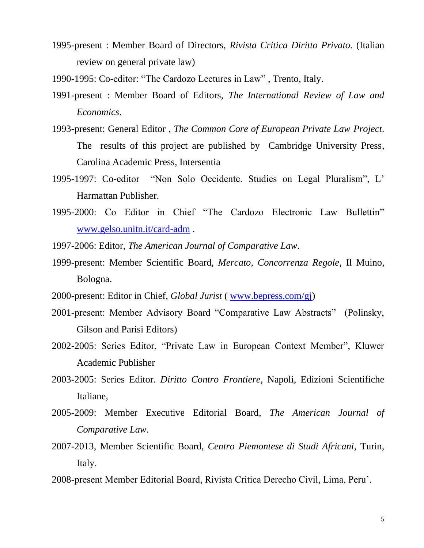- 1995-present : Member Board of Directors, *Rivista Critica Diritto Privato.* (Italian review on general private law)
- 1990-1995: Co-editor: "The Cardozo Lectures in Law" , Trento, Italy.
- 1991-present : Member Board of Editors, *The International Review of Law and Economics*.
- 1993-present: General Editor , *The Common Core of European Private Law Project*. The results of this project are published by Cambridge University Press, Carolina Academic Press, Intersentia
- 1995-1997: Co-editor "Non Solo Occidente. Studies on Legal Pluralism", L' Harmattan Publisher.
- 1995-2000: Co Editor in Chief "The Cardozo Electronic Law Bullettin" [www.gelso.unitn.it/card-adm](http://www.gelso.unitn.it/card-adm) .
- 1997-2006: Editor, *The American Journal of Comparative Law*.
- 1999-present: Member Scientific Board, *Mercato, Concorrenza Regole,* Il Muino, Bologna.
- 2000-present: Editor in Chief, *Global Jurist* ( [www.bepress.com/gj\)](http://www.bepress.com/gj)
- 2001-present: Member Advisory Board "Comparative Law Abstracts" (Polinsky, Gilson and Parisi Editors)
- 2002-2005: Series Editor, "Private Law in European Context Member", Kluwer Academic Publisher
- 2003-2005: Series Editor. *Diritto Contro Frontiere*, Napoli, Edizioni Scientifiche Italiane,
- 2005-2009: Member Executive Editorial Board, *The American Journal of Comparative Law*.
- 2007-2013, Member Scientific Board, *Centro Piemontese di Studi Africani*, Turin, Italy.
- 2008-present Member Editorial Board, Rivista Critica Derecho Civil, Lima, Peru'.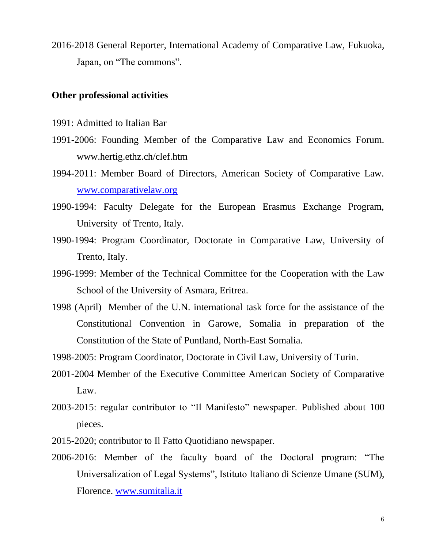2016-2018 General Reporter, International Academy of Comparative Law, Fukuoka, Japan, on "The commons".

## **Other professional activities**

- 1991: Admitted to Italian Bar
- 1991-2006: Founding Member of the Comparative Law and Economics Forum. www.hertig.ethz.ch/clef.htm
- 1994-2011: Member Board of Directors, American Society of Comparative Law. [www.comparativelaw.org](http://www.comparativelaw.org/)
- 1990-1994: Faculty Delegate for the European Erasmus Exchange Program, University of Trento, Italy.
- 1990-1994: Program Coordinator, Doctorate in Comparative Law, University of Trento, Italy.
- 1996-1999: Member of the Technical Committee for the Cooperation with the Law School of the University of Asmara, Eritrea.
- 1998 (April) Member of the U.N. international task force for the assistance of the Constitutional Convention in Garowe, Somalia in preparation of the Constitution of the State of Puntland, North-East Somalia.
- 1998-2005: Program Coordinator, Doctorate in Civil Law, University of Turin.
- 2001-2004 Member of the Executive Committee American Society of Comparative Law.
- 2003-2015: regular contributor to "Il Manifesto" newspaper. Published about 100 pieces.
- 2015-2020; contributor to Il Fatto Quotidiano newspaper.
- 2006-2016: Member of the faculty board of the Doctoral program: "The Universalization of Legal Systems", Istituto Italiano di Scienze Umane (SUM), Florence. [www.sumitalia.it](http://www.sumitalia.it/)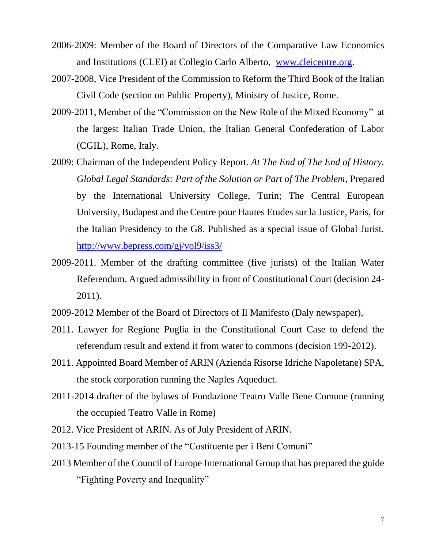- 2006-2009: Member of the Board of Directors of the Comparative Law Economics and Institutions (CLEI) at Collegio Carlo Alberto, [www.cleicentre.org.](http://www.cleicentre.org/)
- 2007-2008, Vice President of the Commission to Reform the Third Book of the Italian Civil Code (section on Public Property), Ministry of Justice, Rome.
- 2009-2011, Member of the "Commission on the New Role of the Mixed Economy" at the largest Italian Trade Union, the Italian General Confederation of Labor (CGIL), Rome, Italy.
- 2009: Chairman of the Independent Policy Report. *At The End of The End of History. Global Legal Standards: Part of the Solution or Part of The Problem*, Prepared by the International University College, Turin; The Central European University, Budapest and the Centre pour Hautes Etudes sur la Justice, Paris, for the Italian Presidency to the G8. Published as a special issue of Global Jurist. <http://www.bepress.com/gj/vol9/iss3/>
- 2009-2011. Member of the drafting committee (five jurists) of the Italian Water Referendum. Argued admissibility in front of Constitutional Court (decision 24- 2011).
- 2009-2012 Member of the Board of Directors of Il Manifesto (Daly newspaper),
- 2011. Lawyer for Regione Puglia in the Constitutional Court Case to defend the referendum result and extend it from water to commons (decision 199-2012).
- 2011. Appointed Board Member of ARIN (Azienda Risorse Idriche Napoletane) SPA, the stock corporation running the Naples Aqueduct.
- 2011-2014 drafter of the bylaws of Fondazione Teatro Valle Bene Comune (running the occupied Teatro Valle in Rome)
- 2012. Vice President of ARIN. As of July President of ARIN.
- 2013-15 Founding member of the "Costituente per i Beni Comuni"
- 2013 Member of the Council of Europe International Group that has prepared the guide "Fighting Poverty and Inequality"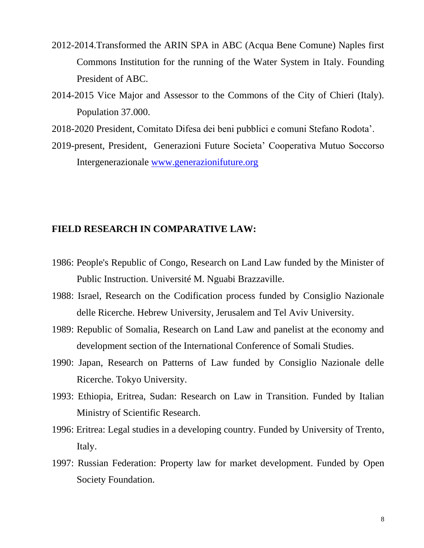- 2012-2014.Transformed the ARIN SPA in ABC (Acqua Bene Comune) Naples first Commons Institution for the running of the Water System in Italy. Founding President of ABC.
- 2014-2015 Vice Major and Assessor to the Commons of the City of Chieri (Italy). Population 37.000.
- 2018-2020 President, Comitato Difesa dei beni pubblici e comuni Stefano Rodota'.
- 2019-present, President, Generazioni Future Societa' Cooperativa Mutuo Soccorso Intergenerazionale [www.generazionifuture.org](http://www.generazionifuture.org/)

# **FIELD RESEARCH IN COMPARATIVE LAW:**

- 1986: People's Republic of Congo, Research on Land Law funded by the Minister of Public Instruction. Université M. Nguabi Brazzaville.
- 1988: Israel, Research on the Codification process funded by Consiglio Nazionale delle Ricerche. Hebrew University, Jerusalem and Tel Aviv University.
- 1989: Republic of Somalia, Research on Land Law and panelist at the economy and development section of the International Conference of Somali Studies.
- 1990: Japan, Research on Patterns of Law funded by Consiglio Nazionale delle Ricerche. Tokyo University.
- 1993: Ethiopia, Eritrea, Sudan: Research on Law in Transition. Funded by Italian Ministry of Scientific Research.
- 1996: Eritrea: Legal studies in a developing country. Funded by University of Trento, Italy.
- 1997: Russian Federation: Property law for market development. Funded by Open Society Foundation.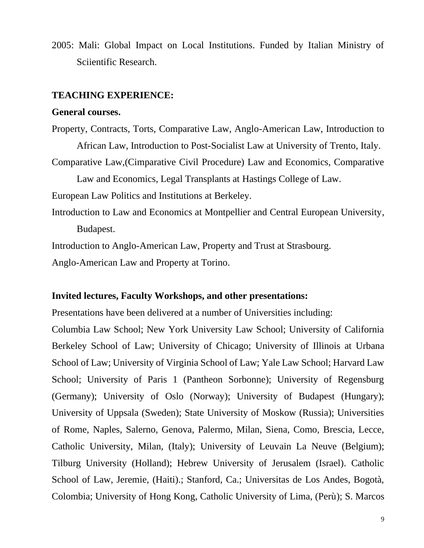2005: Mali: Global Impact on Local Institutions. Funded by Italian Ministry of Sciientific Research.

## **TEACHING EXPERIENCE:**

#### **General courses.**

Property, Contracts, Torts, Comparative Law, Anglo-American Law, Introduction to African Law, Introduction to Post-Socialist Law at University of Trento, Italy. Comparative Law,(Cimparative Civil Procedure) Law and Economics, Comparative Law and Economics, Legal Transplants at Hastings College of Law. European Law Politics and Institutions at Berkeley. Introduction to Law and Economics at Montpellier and Central European University, Budapest. Introduction to Anglo-American Law, Property and Trust at Strasbourg.

Anglo-American Law and Property at Torino.

#### **Invited lectures, Faculty Workshops, and other presentations:**

Presentations have been delivered at a number of Universities including:

Columbia Law School; New York University Law School; University of California Berkeley School of Law; University of Chicago; University of Illinois at Urbana School of Law; University of Virginia School of Law; Yale Law School; Harvard Law School; University of Paris 1 (Pantheon Sorbonne); University of Regensburg (Germany); University of Oslo (Norway); University of Budapest (Hungary); University of Uppsala (Sweden); State University of Moskow (Russia); Universities of Rome, Naples, Salerno, Genova, Palermo, Milan, Siena, Como, Brescia, Lecce, Catholic University, Milan, (Italy); University of Leuvain La Neuve (Belgium); Tilburg University (Holland); Hebrew University of Jerusalem (Israel). Catholic School of Law, Jeremie, (Haiti).; Stanford, Ca.; Universitas de Los Andes, Bogotà, Colombia; University of Hong Kong, Catholic University of Lima, (Perù); S. Marcos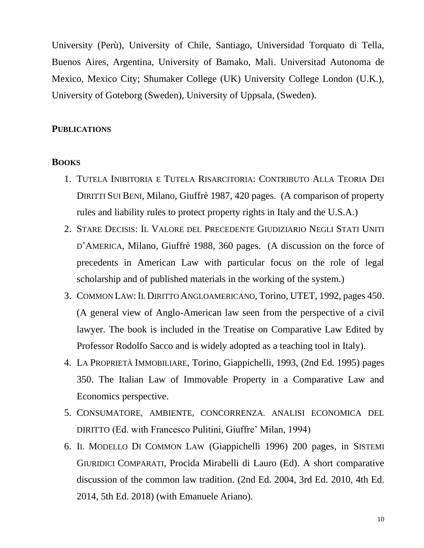University (Perù), University of Chile, Santiago, Universidad Torquato di Tella, Buenos Aires, Argentina, University of Bamako, Mali. Universitad Autonoma de Mexico, Mexico City; Shumaker College (UK) University College London (U.K.), University of Goteborg (Sweden), University of Uppsala, (Sweden).

#### **PUBLICATIONS**

#### **BOOKS**

- 1. TUTELA INIBITORIA E TUTELA RISARCITORIA: CONTRIBUTO ALLA TEORIA DEI DIRITTI SUI BENI, Milano, Giuffrè 1987, 420 pages. (A comparison of property rules and liability rules to protect property rights in Italy and the U.S.A.)
- 2. STARE DECISIS: IL VALORE DEL PRECEDENTE GIUDIZIARIO NEGLI STATI UNITI D'AMERICA, Milano, Giuffrè 1988, 360 pages. (A discussion on the force of precedents in American Law with particular focus on the role of legal scholarship and of published materials in the working of the system.)
- 3. COMMON LAW:IL DIRITTO ANGLOAMERICANO, Torino, UTET, 1992, pages 450. (A general view of Anglo-American law seen from the perspective of a civil lawyer. The book is included in the Treatise on Comparative Law Edited by Professor Rodolfo Sacco and is widely adopted as a teaching tool in Italy).
- 4. LA PROPRIETÀ IMMOBILIARE, Torino, Giappichelli, 1993, (2nd Ed. 1995) pages 350. The Italian Law of Immovable Property in a Comparative Law and Economics perspective.
- 5. CONSUMATORE, AMBIENTE, CONCORRENZA. ANALISI ECONOMICA DEL DIRITTO (Ed. with Francesco Pulitini, Giuffre' Milan, 1994)
- 6. IL MODELLO DI COMMON LAW (Giappichelli 1996) 200 pages, in SISTEMI GIURIDICI COMPARATI, Procida Mirabelli di Lauro (Ed). A short comparative discussion of the common law tradition. (2nd Ed. 2004, 3rd Ed. 2010, 4th Ed. 2014, 5th Ed. 2018) (with Emanuele Ariano).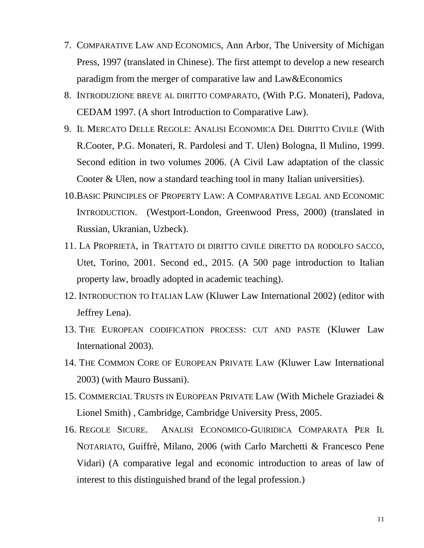- 7. COMPARATIVE LAW AND ECONOMICS, Ann Arbor, The University of Michigan Press, 1997 (translated in Chinese). The first attempt to develop a new research paradigm from the merger of comparative law and Law&Economics
- 8. INTRODUZIONE BREVE AL DIRITTO COMPARATO, (With P.G. Monateri), Padova, CEDAM 1997. (A short Introduction to Comparative Law).
- 9. IL MERCATO DELLE REGOLE: ANALISI ECONOMICA DEL DIRITTO CIVILE (With R.Cooter, P.G. Monateri, R. Pardolesi and T. Ulen) Bologna, Il Mulino, 1999. Second edition in two volumes 2006. (A Civil Law adaptation of the classic Cooter & Ulen, now a standard teaching tool in many Italian universities).
- 10.BASIC PRINCIPLES OF PROPERTY LAW: A COMPARATIVE LEGAL AND ECONOMIC INTRODUCTION. (Westport-London, Greenwood Press, 2000) (translated in Russian, Ukranian, Uzbeck).
- 11. LA PROPRIETÀ, in TRATTATO DI DIRITTO CIVILE DIRETTO DA RODOLFO SACCO, Utet, Torino, 2001. Second ed., 2015. (A 500 page introduction to Italian property law, broadly adopted in academic teaching).
- 12. INTRODUCTION TO ITALIAN LAW (Kluwer Law International 2002) (editor with Jeffrey Lena).
- 13. THE EUROPEAN CODIFICATION PROCESS: CUT AND PASTE (Kluwer Law International 2003).
- 14. THE COMMON CORE OF EUROPEAN PRIVATE LAW (Kluwer Law International 2003) (with Mauro Bussani).
- 15. COMMERCIAL TRUSTS IN EUROPEAN PRIVATE LAW (With Michele Graziadei & Lionel Smith) , Cambridge, Cambridge University Press, 2005.
- 16. REGOLE SICURE. ANALISI ECONOMICO-GUIRIDICA COMPARATA PER IL NOTARIATO, Guiffrè, Milano, 2006 (with Carlo Marchetti & Francesco Pene Vidari) (A comparative legal and economic introduction to areas of law of interest to this distinguished brand of the legal profession.)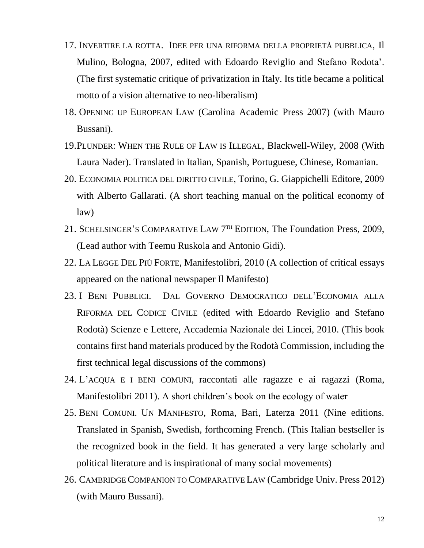- 17. INVERTIRE LA ROTTA. IDEE PER UNA RIFORMA DELLA PROPRIETÀ PUBBLICA, Il Mulino, Bologna, 2007, edited with Edoardo Reviglio and Stefano Rodota'. (The first systematic critique of privatization in Italy. Its title became a political motto of a vision alternative to neo-liberalism)
- 18. OPENING UP EUROPEAN LAW (Carolina Academic Press 2007) (with Mauro Bussani).
- 19.PLUNDER: WHEN THE RULE OF LAW IS ILLEGAL, Blackwell-Wiley, 2008 (With Laura Nader). Translated in Italian, Spanish, Portuguese, Chinese, Romanian.
- 20. ECONOMIA POLITICA DEL DIRITTO CIVILE, Torino, G. Giappichelli Editore, 2009 with Alberto Gallarati. (A short teaching manual on the political economy of law)
- 21. SCHELSINGER'S COMPARATIVE LAW 7<sup>TH</sup> EDITION, The Foundation Press, 2009, (Lead author with Teemu Ruskola and Antonio Gidi).
- 22. LA LEGGE DEL PIÙ FORTE, Manifestolibri, 2010 (A collection of critical essays appeared on the national newspaper Il Manifesto)
- 23. I BENI PUBBLICI. DAL GOVERNO DEMOCRATICO DELL'ECONOMIA ALLA RIFORMA DEL CODICE CIVILE (edited with Edoardo Reviglio and Stefano Rodotà) Scienze e Lettere, Accademia Nazionale dei Lincei, 2010. (This book contains first hand materials produced by the Rodotà Commission, including the first technical legal discussions of the commons)
- 24. L'ACQUA E I BENI COMUNI, raccontati alle ragazze e ai ragazzi (Roma, Manifestolibri 2011). A short children's book on the ecology of water
- 25. BENI COMUNI. UN MANIFESTO, Roma, Bari, Laterza 2011 (Nine editions. Translated in Spanish, Swedish, forthcoming French. (This Italian bestseller is the recognized book in the field. It has generated a very large scholarly and political literature and is inspirational of many social movements)
- 26. CAMBRIDGE COMPANION TO COMPARATIVE LAW (Cambridge Univ. Press 2012) (with Mauro Bussani).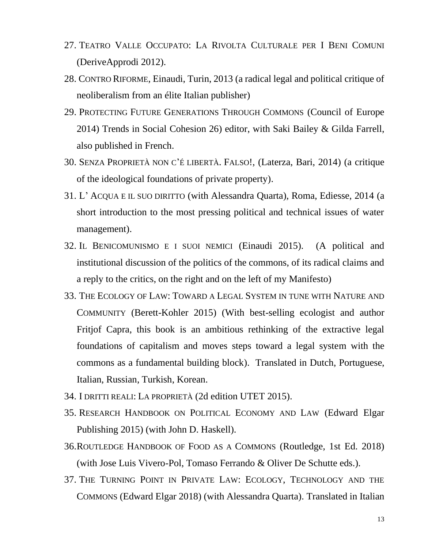- 27. TEATRO VALLE OCCUPATO: LA RIVOLTA CULTURALE PER I BENI COMUNI (DeriveApprodi 2012).
- 28. CONTRO RIFORME, Einaudi, Turin, 2013 (a radical legal and political critique of neoliberalism from an élite Italian publisher)
- 29. PROTECTING FUTURE GENERATIONS THROUGH COMMONS (Council of Europe 2014) Trends in Social Cohesion 26) editor, with Saki Bailey & Gilda Farrell, also published in French.
- 30. SENZA PROPRIETÀ NON C'É LIBERTÀ. FALSO!, (Laterza, Bari, 2014) (a critique of the ideological foundations of private property).
- 31. L' ACQUA E IL SUO DIRITTO (with Alessandra Quarta), Roma, Ediesse, 2014 (a short introduction to the most pressing political and technical issues of water management).
- 32. IL BENICOMUNISMO E I SUOI NEMICI (Einaudi 2015). (A political and institutional discussion of the politics of the commons, of its radical claims and a reply to the critics, on the right and on the left of my Manifesto)
- 33. THE ECOLOGY OF LAW: TOWARD A LEGAL SYSTEM IN TUNE WITH NATURE AND COMMUNITY (Berett-Kohler 2015) (With best-selling ecologist and author Fritjof Capra, this book is an ambitious rethinking of the extractive legal foundations of capitalism and moves steps toward a legal system with the commons as a fundamental building block). Translated in Dutch, Portuguese, Italian, Russian, Turkish, Korean.
- 34. I DRITTI REALI: LA PROPRIETÀ (2d edition UTET 2015).
- 35. RESEARCH HANDBOOK ON POLITICAL ECONOMY AND LAW (Edward Elgar Publishing 2015) (with John D. Haskell).
- 36.ROUTLEDGE HANDBOOK OF FOOD AS A COMMONS (Routledge, 1st Ed. 2018) (with Jose Luis Vivero-Pol, Tomaso Ferrando & Oliver De Schutte eds.).
- 37. THE TURNING POINT IN PRIVATE LAW: ECOLOGY, TECHNOLOGY AND THE COMMONS (Edward Elgar 2018) (with Alessandra Quarta). Translated in Italian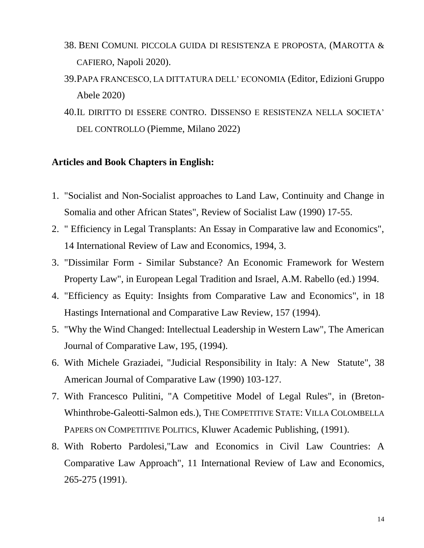- 38. BENI COMUNI. PICCOLA GUIDA DI RESISTENZA E PROPOSTA, (MAROTTA & CAFIERO, Napoli 2020).
- 39.PAPA FRANCESCO, LA DITTATURA DELL' ECONOMIA (Editor, Edizioni Gruppo Abele 2020)
- 40.IL DIRITTO DI ESSERE CONTRO. DISSENSO E RESISTENZA NELLA SOCIETA' DEL CONTROLLO (Piemme, Milano 2022)

# **Articles and Book Chapters in English:**

- 1. "Socialist and Non-Socialist approaches to Land Law, Continuity and Change in Somalia and other African States", Review of Socialist Law (1990) 17-55.
- 2. " Efficiency in Legal Transplants: An Essay in Comparative law and Economics", 14 International Review of Law and Economics, 1994, 3.
- 3. "Dissimilar Form Similar Substance? An Economic Framework for Western Property Law", in European Legal Tradition and Israel, A.M. Rabello (ed.) 1994.
- 4. "Efficiency as Equity: Insights from Comparative Law and Economics", in 18 Hastings International and Comparative Law Review, 157 (1994).
- 5. "Why the Wind Changed: Intellectual Leadership in Western Law", The American Journal of Comparative Law, 195, (1994).
- 6. With Michele Graziadei, "Judicial Responsibility in Italy: A New Statute", 38 American Journal of Comparative Law (1990) 103-127.
- 7. With Francesco Pulitini, "A Competitive Model of Legal Rules", in (Breton-Whinthrobe-Galeotti-Salmon eds.), THE COMPETITIVE STATE: VILLA COLOMBELLA PAPERS ON COMPETITIVE POLITICS, Kluwer Academic Publishing, (1991).
- 8. With Roberto Pardolesi,"Law and Economics in Civil Law Countries: A Comparative Law Approach", 11 International Review of Law and Economics, 265-275 (1991).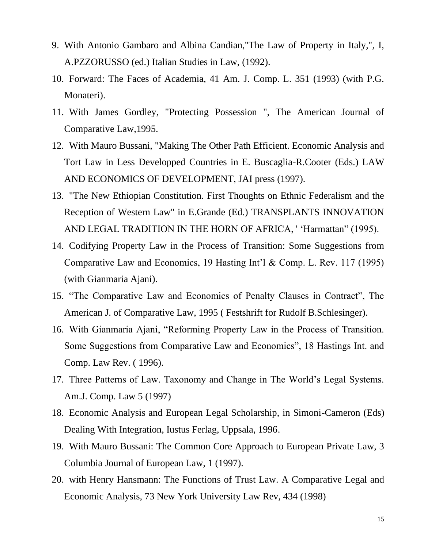- 9. With Antonio Gambaro and Albina Candian,"The Law of Property in Italy,", I, A.PZZORUSSO (ed.) Italian Studies in Law, (1992).
- 10. Forward: The Faces of Academia, 41 Am. J. Comp. L. 351 (1993) (with P.G. Monateri).
- 11. With James Gordley, "Protecting Possession ", The American Journal of Comparative Law,1995.
- 12. With Mauro Bussani, "Making The Other Path Efficient. Economic Analysis and Tort Law in Less Developped Countries in E. Buscaglia-R.Cooter (Eds.) LAW AND ECONOMICS OF DEVELOPMENT, JAI press (1997).
- 13. "The New Ethiopian Constitution. First Thoughts on Ethnic Federalism and the Reception of Western Law" in E.Grande (Ed.) TRANSPLANTS INNOVATION AND LEGAL TRADITION IN THE HORN OF AFRICA, ' 'Harmattan" (1995).
- 14. Codifying Property Law in the Process of Transition: Some Suggestions from Comparative Law and Economics, 19 Hasting Int'l & Comp. L. Rev. 117 (1995) (with Gianmaria Ajani).
- 15. "The Comparative Law and Economics of Penalty Clauses in Contract", The American J. of Comparative Law, 1995 ( Festshrift for Rudolf B.Schlesinger).
- 16. With Gianmaria Ajani, "Reforming Property Law in the Process of Transition. Some Suggestions from Comparative Law and Economics", 18 Hastings Int. and Comp. Law Rev. ( 1996).
- 17. Three Patterns of Law. Taxonomy and Change in The World's Legal Systems. Am.J. Comp. Law 5 (1997)
- 18. Economic Analysis and European Legal Scholarship, in Simoni-Cameron (Eds) Dealing With Integration, Iustus Ferlag, Uppsala, 1996.
- 19. With Mauro Bussani: The Common Core Approach to European Private Law, 3 Columbia Journal of European Law, 1 (1997).
- 20. with Henry Hansmann: The Functions of Trust Law. A Comparative Legal and Economic Analysis, 73 New York University Law Rev, 434 (1998)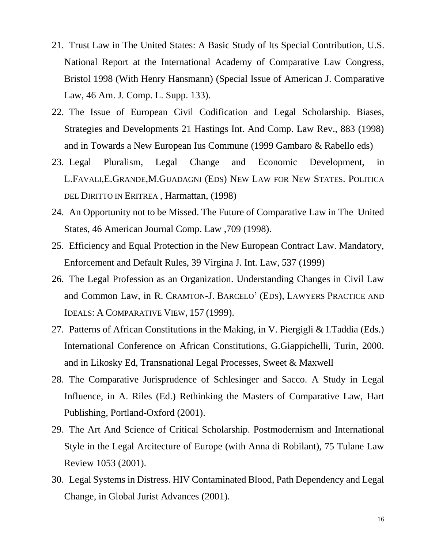- 21. Trust Law in The United States: A Basic Study of Its Special Contribution, U.S. National Report at the International Academy of Comparative Law Congress, Bristol 1998 (With Henry Hansmann) (Special Issue of American J. Comparative Law, 46 Am. J. Comp. L. Supp. 133).
- 22. The Issue of European Civil Codification and Legal Scholarship. Biases, Strategies and Developments 21 Hastings Int. And Comp. Law Rev., 883 (1998) and in Towards a New European Ius Commune (1999 Gambaro & Rabello eds)
- 23. Legal Pluralism, Legal Change and Economic Development, in L.FAVALI,E.GRANDE,M.GUADAGNI (EDS) NEW LAW FOR NEW STATES. POLITICA DEL DIRITTO IN ERITREA, Harmattan, (1998)
- 24. An Opportunity not to be Missed. The Future of Comparative Law in The United States, 46 American Journal Comp. Law ,709 (1998).
- 25. Efficiency and Equal Protection in the New European Contract Law. Mandatory, Enforcement and Default Rules, 39 Virgina J. Int. Law, 537 (1999)
- 26. The Legal Profession as an Organization. Understanding Changes in Civil Law and Common Law, in R. CRAMTON-J. BARCELO' (EDS), LAWYERS PRACTICE AND IDEALS: A COMPARATIVE VIEW, 157 (1999).
- 27. Patterns of African Constitutions in the Making, in V. Piergigli & I.Taddia (Eds.) International Conference on African Constitutions, G.Giappichelli, Turin, 2000. and in Likosky Ed, Transnational Legal Processes, Sweet & Maxwell
- 28. The Comparative Jurisprudence of Schlesinger and Sacco. A Study in Legal Influence, in A. Riles (Ed.) Rethinking the Masters of Comparative Law, Hart Publishing, Portland-Oxford (2001).
- 29. The Art And Science of Critical Scholarship. Postmodernism and International Style in the Legal Arcitecture of Europe (with Anna di Robilant), 75 Tulane Law Review 1053 (2001).
- 30. Legal Systems in Distress. HIV Contaminated Blood, Path Dependency and Legal Change, in Global Jurist Advances (2001).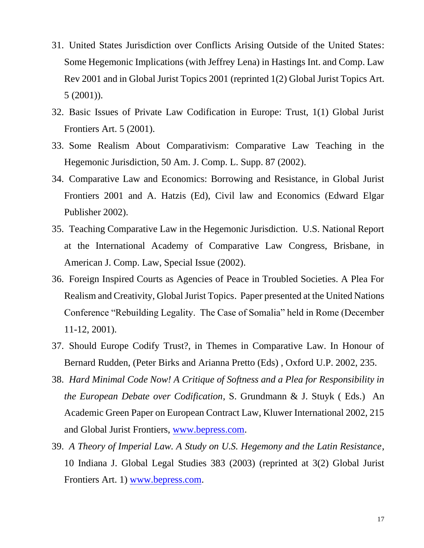- 31. United States Jurisdiction over Conflicts Arising Outside of the United States: Some Hegemonic Implications (with Jeffrey Lena) in Hastings Int. and Comp. Law Rev 2001 and in Global Jurist Topics 2001 (reprinted 1(2) Global Jurist Topics Art. 5 (2001)).
- 32. Basic Issues of Private Law Codification in Europe: Trust, 1(1) Global Jurist Frontiers Art. 5 (2001).
- 33. Some Realism About Comparativism: Comparative Law Teaching in the Hegemonic Jurisdiction, 50 Am. J. Comp. L. Supp. 87 (2002).
- 34. Comparative Law and Economics: Borrowing and Resistance, in Global Jurist Frontiers 2001 and A. Hatzis (Ed), Civil law and Economics (Edward Elgar Publisher 2002).
- 35. Teaching Comparative Law in the Hegemonic Jurisdiction. U.S. National Report at the International Academy of Comparative Law Congress, Brisbane, in American J. Comp. Law, Special Issue (2002).
- 36. Foreign Inspired Courts as Agencies of Peace in Troubled Societies. A Plea For Realism and Creativity, Global Jurist Topics. Paper presented at the United Nations Conference "Rebuilding Legality. The Case of Somalia" held in Rome (December 11-12, 2001).
- 37. Should Europe Codify Trust?, in Themes in Comparative Law. In Honour of Bernard Rudden, (Peter Birks and Arianna Pretto (Eds) , Oxford U.P. 2002, 235.
- 38. *Hard Minimal Code Now! A Critique of Softness and a Plea for Responsibility in the European Debate over Codification*, S. Grundmann & J. Stuyk ( Eds.) An Academic Green Paper on European Contract Law, Kluwer International 2002, 215 and Global Jurist Frontiers, [www.bepress.com.](http://www.bepress.com/)
- 39. *A Theory of Imperial Law. A Study on U.S. Hegemony and the Latin Resistance*, 10 Indiana J. Global Legal Studies 383 (2003) (reprinted at 3(2) Global Jurist Frontiers Art. 1) [www.bepress.com.](http://www.bepress.com/)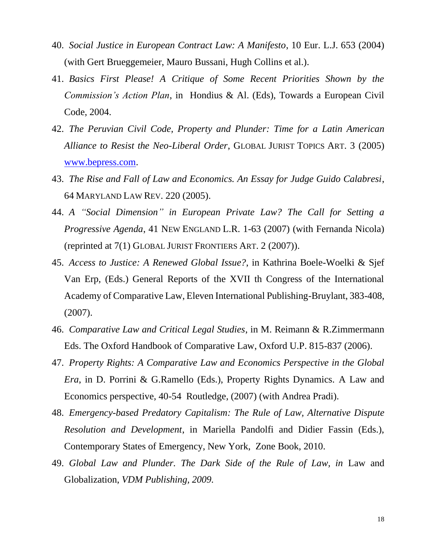- 40. *Social Justice in European Contract Law: A Manifesto*, 10 Eur. L.J. 653 (2004) (with Gert Brueggemeier, Mauro Bussani, Hugh Collins et al.).
- 41. *Basics First Please! A Critique of Some Recent Priorities Shown by the Commission's Action Plan*, in Hondius & Al. (Eds), Towards a European Civil Code, 2004.
- 42. *The Peruvian Civil Code, Property and Plunder: Time for a Latin American Alliance to Resist the Neo-Liberal Order*, GLOBAL JURIST TOPICS ART. 3 (2005) [www.bepress.com.](http://www.bepress.com/)
- 43. *The Rise and Fall of Law and Economics. An Essay for Judge Guido Calabresi*, 64 MARYLAND LAW REV. 220 (2005).
- 44. *A "Social Dimension" in European Private Law? The Call for Setting a Progressive Agenda*, 41 NEW ENGLAND L.R. 1-63 (2007) (with Fernanda Nicola) (reprinted at 7(1) GLOBAL JURIST FRONTIERS ART. 2 (2007)).
- 45. *Access to Justice: A Renewed Global Issue?*, in Kathrina Boele-Woelki & Sjef Van Erp, (Eds.) General Reports of the XVII th Congress of the International Academy of Comparative Law, Eleven International Publishing-Bruylant, 383-408, (2007).
- 46. *Comparative Law and Critical Legal Studies*, in M. Reimann & R.Zimmermann Eds. The Oxford Handbook of Comparative Law, Oxford U.P. 815-837 (2006).
- 47. *Property Rights: A Comparative Law and Economics Perspective in the Global Era*, in D. Porrini & G.Ramello (Eds.), Property Rights Dynamics. A Law and Economics perspective, 40-54 Routledge, (2007) (with Andrea Pradi).
- 48. *Emergency-based Predatory Capitalism: The Rule of Law, Alternative Dispute Resolution and Development*, in Mariella Pandolfi and Didier Fassin (Eds.), Contemporary States of Emergency, New York, Zone Book, 2010.
- 49. *Global Law and Plunder. The Dark Side of the Rule of Law, in* Law and Globalization, *VDM Publishing, 2009.*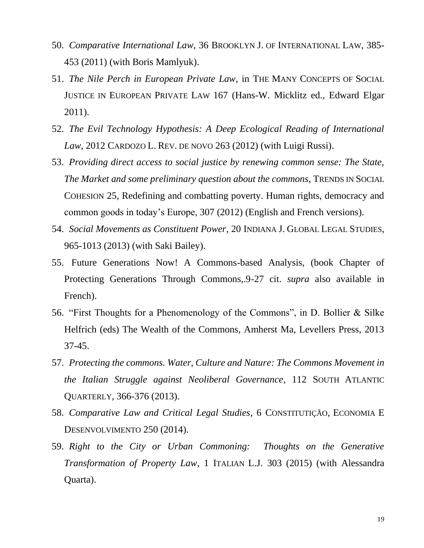- 50. *Comparative International Law*, 36 BROOKLYN J. OF INTERNATIONAL LAW, 385- 453 (2011) (with Boris Mamlyuk).
- 51. *The Nile Perch in European Private Law*, in THE MANY CONCEPTS OF SOCIAL JUSTICE IN EUROPEAN PRIVATE LAW 167 (Hans-W. Micklitz ed., Edward Elgar 2011).
- 52. *The Evil Technology Hypothesis: A Deep Ecological Reading of International Law*, 2012 CARDOZO L. REV. DE NOVO 263 (2012) (with Luigi Russi).
- 53. *Providing direct access to social justice by renewing common sense: The State, The Market and some preliminary question about the commons*, TRENDS IN SOCIAL COHESION 25, Redefining and combatting poverty. Human rights, democracy and common goods in today's Europe, 307 (2012) (English and French versions).
- 54. *Social Movements as Constituent Power*, 20 INDIANA J. GLOBAL LEGAL STUDIES, 965-1013 (2013) (with Saki Bailey).
- 55. Future Generations Now! A Commons-based Analysis, (book Chapter of Protecting Generations Through Commons,.9-27 cit. *supra* also available in French).
- 56. "First Thoughts for a Phenomenology of the Commons", in D. Bollier & Silke Helfrich (eds) The Wealth of the Commons, Amherst Ma, Levellers Press, 2013 37-45.
- 57. *Protecting the commons. Water, Culture and Nature: The Commons Movement in the Italian Struggle against Neoliberal Governance*, 112 SOUTH ATLANTIC QUARTERLY, 366-376 (2013).
- 58. *Comparative Law and Critical Legal Studies*, 6 CONSTITUTIÇÃO, ECONOMIA E DESENVOLVIMENTO 250 (2014).
- 59. *Right to the City or Urban Commoning: Thoughts on the Generative Transformation of Property Law*, 1 ITALIAN L.J. 303 (2015) (with Alessandra Quarta).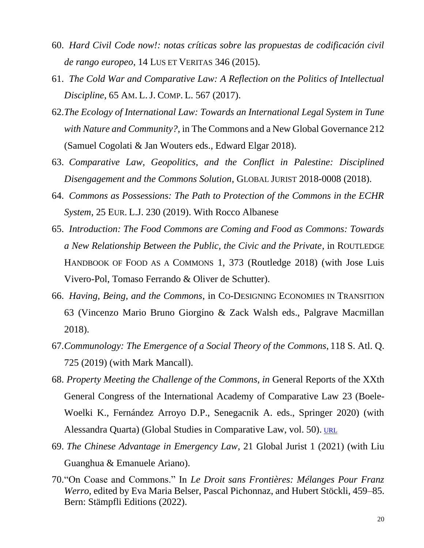- 60. *Hard Civil Code now!: notas críticas sobre las propuestas de codificación civil de rango europeo*, 14 LUS ET VERITAS 346 (2015).
- 61. *The Cold War and Comparative Law: A Reflection on the Politics of Intellectual Discipline*, 65 AM. L.J. COMP. L. 567 (2017).
- 62.*The Ecology of International Law: Towards an International Legal System in Tune with Nature and Community?*, in The Commons and a New Global Governance 212 (Samuel Cogolati & Jan Wouters eds., Edward Elgar 2018).
- 63. *Comparative Law, Geopolitics, and the Conflict in Palestine: Disciplined Disengagement and the Commons Solution*, GLOBAL JURIST 2018-0008 (2018).
- 64. *Commons as Possessions: The Path to Protection of the Commons in the ECHR System*, 25 EUR. L.J. 230 (2019). With Rocco Albanese
- 65. *Introduction: The Food Commons are Coming and Food as Commons: Towards a New Relationship Between the Public, the Civic and the Private*, in ROUTLEDGE HANDBOOK OF FOOD AS A COMMONS 1, 373 (Routledge 2018) (with Jose Luis Vivero-Pol, Tomaso Ferrando & Oliver de Schutter).
- 66. *Having, Being, and the Commons*, in CO-DESIGNING ECONOMIES IN TRANSITION 63 (Vincenzo Mario Bruno Giorgino & Zack Walsh eds., Palgrave Macmillan 2018).
- 67.*Communology: The Emergence of a Social Theory of the Commons*, 118 S. Atl. Q. 725 (2019) (with Mark Mancall).
- 68. *Property Meeting the Challenge of the Commons, in* General Reports of the XXth General Congress of the International Academy of Comparative Law 23 (Boele-Woelki K., Fernández Arroyo D.P., Senegacnik A. eds., Springer 2020) (with Alessandra Quarta) (Global Studies in Comparative Law, vol. 50). [URL](https://link.springer.com/chapter/10.1007/978-3-030-48675-4_2)
- 69. *The Chinese Advantage in Emergency Law*, 21 Global Jurist 1 (2021) (with Liu Guanghua & Emanuele Ariano).
- 70."On Coase and Commons." In *Le Droit sans Frontières: Mélanges Pour Franz Werro*, edited by Eva Maria Belser, Pascal Pichonnaz, and Hubert Stöckli, 459–85. Bern: Stämpfli Editions (2022).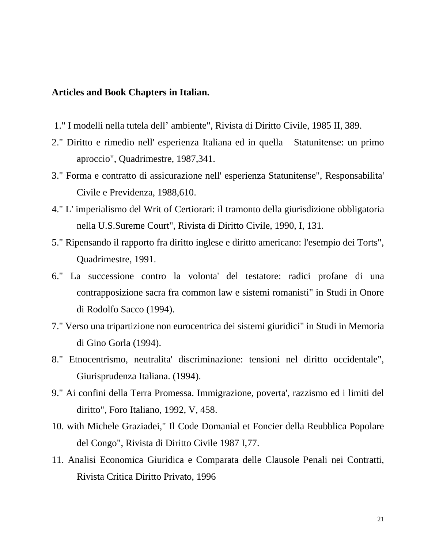# **Articles and Book Chapters in Italian.**

- 1." I modelli nella tutela dell' ambiente", Rivista di Diritto Civile, 1985 II, 389.
- 2." Diritto e rimedio nell' esperienza Italiana ed in quella Statunitense: un primo aproccio", Quadrimestre, 1987,341.
- 3." Forma e contratto di assicurazione nell' esperienza Statunitense", Responsabilita' Civile e Previdenza, 1988,610.
- 4." L' imperialismo del Writ of Certiorari: il tramonto della giurisdizione obbligatoria nella U.S.Sureme Court", Rivista di Diritto Civile, 1990, I, 131.
- 5." Ripensando il rapporto fra diritto inglese e diritto americano: l'esempio dei Torts", Quadrimestre, 1991.
- 6." La successione contro la volonta' del testatore: radici profane di una contrapposizione sacra fra common law e sistemi romanisti" in Studi in Onore di Rodolfo Sacco (1994).
- 7." Verso una tripartizione non eurocentrica dei sistemi giuridici" in Studi in Memoria di Gino Gorla (1994).
- 8." Etnocentrismo, neutralita' discriminazione: tensioni nel diritto occidentale", Giurisprudenza Italiana. (1994).
- 9." Ai confini della Terra Promessa. Immigrazione, poverta', razzismo ed i limiti del diritto", Foro Italiano, 1992, V, 458.
- 10. with Michele Graziadei," Il Code Domanial et Foncier della Reubblica Popolare del Congo", Rivista di Diritto Civile 1987 I,77.
- 11. Analisi Economica Giuridica e Comparata delle Clausole Penali nei Contratti, Rivista Critica Diritto Privato, 1996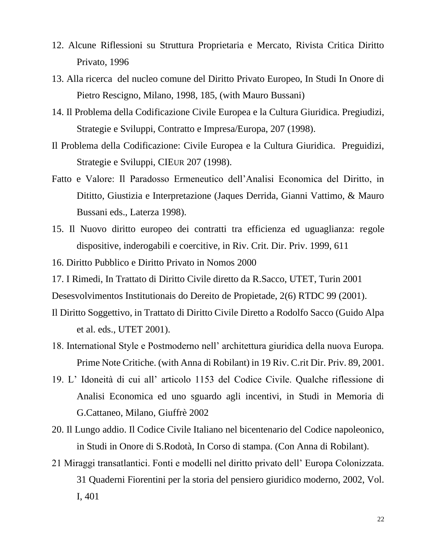- 12. Alcune Riflessioni su Struttura Proprietaria e Mercato, Rivista Critica Diritto Privato, 1996
- 13. Alla ricerca del nucleo comune del Diritto Privato Europeo, In Studi In Onore di Pietro Rescigno, Milano, 1998, 185, (with Mauro Bussani)
- 14. Il Problema della Codificazione Civile Europea e la Cultura Giuridica. Pregiudizi, Strategie e Sviluppi, Contratto e Impresa/Europa, 207 (1998).
- Il Problema della Codificazione: Civile Europea e la Cultura Giuridica. Preguidizi, Strategie e Sviluppi, CIEUR 207 (1998).
- Fatto e Valore: Il Paradosso Ermeneutico dell'Analisi Economica del Diritto, in Dititto, Giustizia e Interpretazione (Jaques Derrida, Gianni Vattimo, & Mauro Bussani eds., Laterza 1998).
- 15. Il Nuovo diritto europeo dei contratti tra efficienza ed uguaglianza: regole dispositive, inderogabili e coercitive, in Riv. Crit. Dir. Priv. 1999, 611
- 16. Diritto Pubblico e Diritto Privato in Nomos 2000
- 17. I Rimedi, In Trattato di Diritto Civile diretto da R.Sacco, UTET, Turin 2001

Desesvolvimentos Institutionais do Dereito de Propietade, 2(6) RTDC 99 (2001).

- Il Diritto Soggettivo, in Trattato di Diritto Civile Diretto a Rodolfo Sacco (Guido Alpa et al. eds., UTET 2001).
- 18. International Style e Postmoderno nell' architettura giuridica della nuova Europa. Prime Note Critiche. (with Anna di Robilant) in 19 Riv. C.rit Dir. Priv. 89, 2001.
- 19. L' Idoneità di cui all' articolo 1153 del Codice Civile. Qualche riflessione di Analisi Economica ed uno sguardo agli incentivi, in Studi in Memoria di G.Cattaneo, Milano, Giuffrè 2002
- 20. Il Lungo addio. Il Codice Civile Italiano nel bicentenario del Codice napoleonico, in Studi in Onore di S.Rodotà, In Corso di stampa. (Con Anna di Robilant).
- 21 Miraggi transatlantici. Fonti e modelli nel diritto privato dell' Europa Colonizzata. 31 Quaderni Fiorentini per la storia del pensiero giuridico moderno, 2002, Vol. I, 401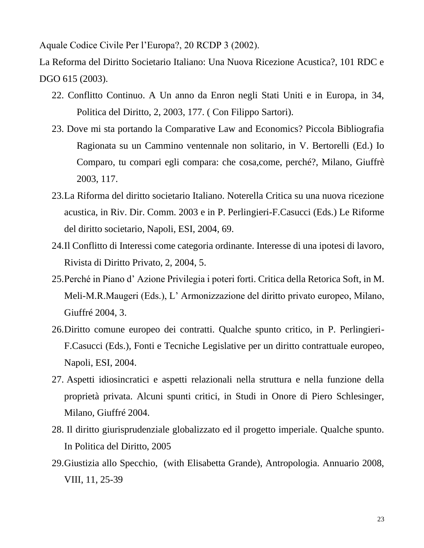Aquale Codice Civile Per l'Europa?, 20 RCDP 3 (2002).

La Reforma del Diritto Societario Italiano: Una Nuova Ricezione Acustica?, 101 RDC e DGO 615 (2003).

- 22. Conflitto Continuo. A Un anno da Enron negli Stati Uniti e in Europa, in 34, Politica del Diritto, 2, 2003, 177. ( Con Filippo Sartori).
- 23. Dove mi sta portando la Comparative Law and Economics? Piccola Bibliografia Ragionata su un Cammino ventennale non solitario, in V. Bertorelli (Ed.) Io Comparo, tu compari egli compara: che cosa,come, perché?, Milano, Giuffrè 2003, 117.
- 23.La Riforma del diritto societario Italiano. Noterella Critica su una nuova ricezione acustica, in Riv. Dir. Comm. 2003 e in P. Perlingieri-F.Casucci (Eds.) Le Riforme del diritto societario, Napoli, ESI, 2004, 69.
- 24.Il Conflitto di Interessi come categoria ordinante. Interesse di una ipotesi di lavoro, Rivista di Diritto Privato, 2, 2004, 5.
- 25.Perché in Piano d' Azione Privilegia i poteri forti. Critica della Retorica Soft, in M. Meli-M.R.Maugeri (Eds.), L' Armonizzazione del diritto privato europeo, Milano, Giuffré 2004, 3.
- 26.Diritto comune europeo dei contratti. Qualche spunto critico, in P. Perlingieri-F.Casucci (Eds.), Fonti e Tecniche Legislative per un diritto contrattuale europeo, Napoli, ESI, 2004.
- 27. Aspetti idiosincratici e aspetti relazionali nella struttura e nella funzione della proprietà privata. Alcuni spunti critici, in Studi in Onore di Piero Schlesinger, Milano, Giuffré 2004.
- 28. Il diritto giurisprudenziale globalizzato ed il progetto imperiale. Qualche spunto. In Politica del Diritto, 2005
- 29.Giustizia allo Specchio, (with Elisabetta Grande), Antropologia. Annuario 2008, VIII, 11, 25-39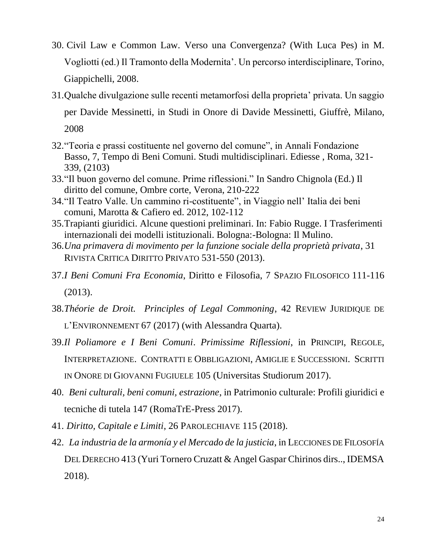- 30. Civil Law e Common Law. Verso una Convergenza? (With Luca Pes) in M. Vogliotti (ed.) Il Tramonto della Modernita'. Un percorso interdisciplinare, Torino, Giappichelli, 2008.
- 31.Qualche divulgazione sulle recenti metamorfosi della proprieta' privata. Un saggio per Davide Messinetti, in Studi in Onore di Davide Messinetti, Giuffrè, Milano, 2008
- 32."Teoria e prassi costituente nel governo del comune", in Annali Fondazione Basso, 7, Tempo di Beni Comuni. Studi multidisciplinari. Ediesse , Roma, 321- 339, (2103)
- 33."Il buon governo del comune. Prime riflessioni." In Sandro Chignola (Ed.) Il diritto del comune, Ombre corte, Verona, 210-222
- 34."Il Teatro Valle. Un cammino ri-costituente", in Viaggio nell' Italia dei beni comuni, Marotta & Cafiero ed. 2012, 102-112
- 35.Trapianti giuridici. Alcune questioni preliminari. In: Fabio Rugge. I Trasferimenti internazionali dei modelli istituzionali. Bologna:-Bologna: Il Mulino.
- 36.*Una primavera di movimento per la funzione sociale della proprietà privata*, 31 RIVISTA CRITICA DIRITTO PRIVATO 531-550 (2013).
- 37.*I Beni Comuni Fra Economia*, Diritto e Filosofia, 7 SPAZIO FILOSOFICO 111-116 (2013).
- 38.*Théorie de Droit. Principles of Legal Commoning*, 42 REVIEW JURIDIQUE DE L'ENVIRONNEMENT 67 (2017) (with Alessandra Quarta).
- 39.*Il Poliamore e I Beni Comuni*. *Primissime Riflessioni*, in PRINCIPI, REGOLE, INTERPRETAZIONE. CONTRATTI E OBBLIGAZIONI, AMIGLIE E SUCCESSIONI. SCRITTI IN ONORE DI GIOVANNI FUGIUELE 105 (Universitas Studiorum 2017).
- 40. *Beni culturali, beni comuni, estrazione*, in Patrimonio culturale: Profili giuridici e tecniche di tutela 147 (RomaTrE-Press 2017).
- 41. *Diritto, Capitale e Limiti*, 26 PAROLECHIAVE 115 (2018).
- 42. *La industria de la armonía y el Mercado de la justicia*, in LECCIONES DE FILOSOFÍA DEL DERECHO 413 (Yuri Tornero Cruzatt & Angel Gaspar Chirinos dirs.., IDEMSA 2018).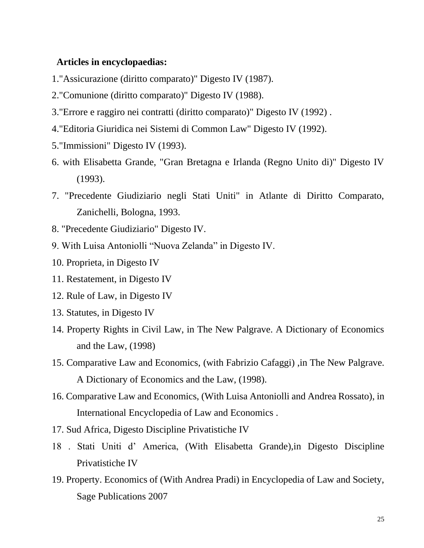## **Articles in encyclopaedias:**

- 1."Assicurazione (diritto comparato)" Digesto IV (1987).
- 2."Comunione (diritto comparato)" Digesto IV (1988).
- 3."Errore e raggiro nei contratti (diritto comparato)" Digesto IV (1992) .
- 4."Editoria Giuridica nei Sistemi di Common Law" Digesto IV (1992).
- 5."Immissioni" Digesto IV (1993).
- 6. with Elisabetta Grande, "Gran Bretagna e Irlanda (Regno Unito di)" Digesto IV (1993).
- 7. "Precedente Giudiziario negli Stati Uniti" in Atlante di Diritto Comparato, Zanichelli, Bologna, 1993.
- 8. "Precedente Giudiziario" Digesto IV.
- 9. With Luisa Antoniolli "Nuova Zelanda" in Digesto IV.
- 10. Proprieta, in Digesto IV
- 11. Restatement, in Digesto IV
- 12. Rule of Law, in Digesto IV
- 13. Statutes, in Digesto IV
- 14. Property Rights in Civil Law, in The New Palgrave. A Dictionary of Economics and the Law, (1998)
- 15. Comparative Law and Economics, (with Fabrizio Cafaggi) ,in The New Palgrave. A Dictionary of Economics and the Law, (1998).
- 16. Comparative Law and Economics, (With Luisa Antoniolli and Andrea Rossato), in International Encyclopedia of Law and Economics .
- 17. Sud Africa, Digesto Discipline Privatistiche IV
- 18 . Stati Uniti d' America, (With Elisabetta Grande),in Digesto Discipline Privatistiche IV
- 19. Property. Economics of (With Andrea Pradi) in Encyclopedia of Law and Society, Sage Publications 2007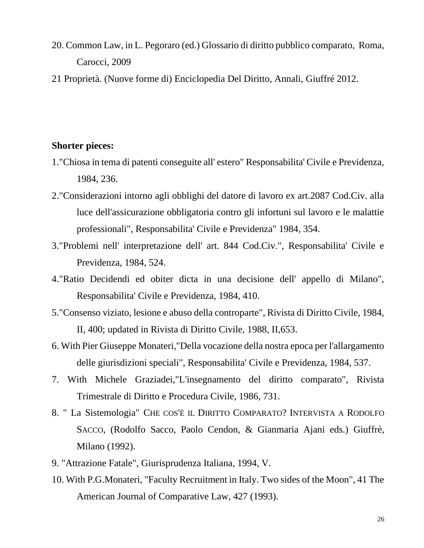- 20. Common Law, in L. Pegoraro (ed.) Glossario di diritto pubblico comparato, Roma, Carocci, 2009
- 21 Proprietà. (Nuove forme di) Enciclopedia Del Diritto, Annali, Giuffré 2012.

# **Shorter pieces:**

- 1."Chiosa in tema di patenti conseguite all' estero" Responsabilita' Civile e Previdenza, 1984, 236.
- 2."Considerazioni intorno agli obblighi del datore di lavoro ex art.2087 Cod.Civ. alla luce dell'assicurazione obbligatoria contro gli infortuni sul lavoro e le malattie professionali", Responsabilita' Civile e Previdenza" 1984, 354.
- 3."Problemi nell' interpretazione dell' art. 844 Cod.Civ.", Responsabilita' Civile e Previdenza, 1984, 524.
- 4."Ratio Decidendi ed obiter dicta in una decisione dell' appello di Milano", Responsabilita' Civile e Previdenza, 1984, 410.
- 5."Consenso viziato, lesione e abuso della controparte", Rivista di Diritto Civile, 1984, II, 400; updated in Rivista di Diritto Civile, 1988, II,653.
- 6. With Pier Giuseppe Monateri,"Della vocazione della nostra epoca per l'allargamento delle giurisdizioni speciali", Responsabilita' Civile e Previdenza, 1984, 537.
- 7. With Michele Graziadei,"L'insegnamento del diritto comparato", Rivista Trimestrale di Diritto e Procedura Civile, 1986, 731.
- 8. " La Sistemologia" CHE COS'È IL DIRITTO COMPARATO? INTERVISTA A RODOLFO SACCO, (Rodolfo Sacco, Paolo Cendon, & Gianmaria Ajani eds.) Giuffrè, Milano (1992).
- 9. "Attrazione Fatale", Giurisprudenza Italiana, 1994, V.
- 10. With P.G.Monateri, "Faculty Recruitment in Italy. Two sides of the Moon", 41 The American Journal of Comparative Law, 427 (1993).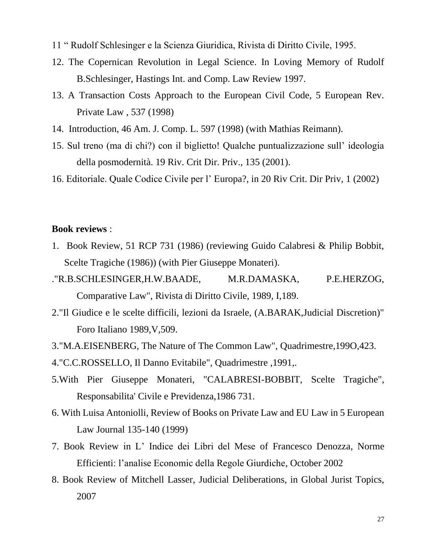- 11 " Rudolf Schlesinger e la Scienza Giuridica, Rivista di Diritto Civile, 1995.
- 12. The Copernican Revolution in Legal Science. In Loving Memory of Rudolf B.Schlesinger, Hastings Int. and Comp. Law Review 1997.
- 13. A Transaction Costs Approach to the European Civil Code, 5 European Rev. Private Law , 537 (1998)
- 14. Introduction, 46 Am. J. Comp. L. 597 (1998) (with Mathias Reimann).
- 15. Sul treno (ma di chi?) con il biglietto! Qualche puntualizzazione sull' ideologia della posmodernità. 19 Riv. Crit Dir. Priv., 135 (2001).
- 16. Editoriale. Quale Codice Civile per l' Europa?, in 20 Riv Crit. Dir Priv, 1 (2002)

## **Book reviews** :

- 1. Book Review, 51 RCP 731 (1986) (reviewing Guido Calabresi & Philip Bobbit, Scelte Tragiche (1986)) (with Pier Giuseppe Monateri).
- ."R.B.SCHLESINGER,H.W.BAADE, M.R.DAMASKA, P.E.HERZOG, Comparative Law", Rivista di Diritto Civile, 1989, I,189.
- 2."Il Giudice e le scelte difficili, lezioni da Israele, (A.BARAK,Judicial Discretion)" Foro Italiano 1989,V,509.
- 3."M.A.EISENBERG, The Nature of The Common Law", Quadrimestre,199O,423.
- 4."C.C.ROSSELLO, Il Danno Evitabile", Quadrimestre ,1991,.
- 5.With Pier Giuseppe Monateri, "CALABRESI-BOBBIT, Scelte Tragiche", Responsabilita' Civile e Previdenza,1986 731.
- 6. With Luisa Antoniolli, Review of Books on Private Law and EU Law in 5 European Law Journal 135-140 (1999)
- 7. Book Review in L' Indice dei Libri del Mese of Francesco Denozza, Norme Efficienti: l'analise Economic della Regole Giurdiche, October 2002
- 8. Book Review of Mitchell Lasser, Judicial Deliberations, in Global Jurist Topics, 2007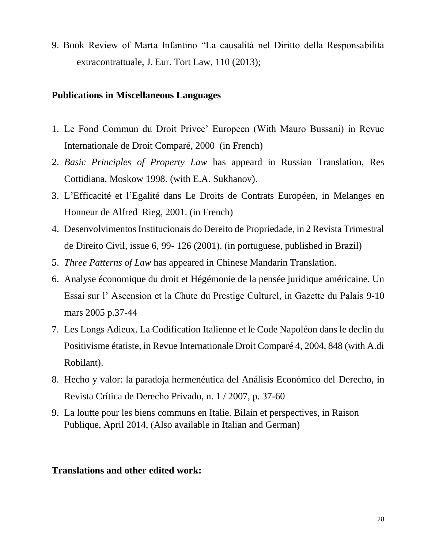9. Book Review of Marta Infantino "La causalità nel Diritto della Responsabilità extracontrattuale, J. Eur. Tort Law, 110 (2013);

# **Publications in Miscellaneous Languages**

- 1. Le Fond Commun du Droit Privee' Europeen (With Mauro Bussani) in Revue Internationale de Droit Comparé, 2000 (in French)
- 2. *Basic Principles of Property Law* has appeard in Russian Translation, Res Cottidiana, Moskow 1998. (with E.A. Sukhanov).
- 3. L'Efficacité et l'Egalité dans Le Droits de Contrats Européen, in Melanges en Honneur de Alfred Rieg, 2001. (in French)
- 4. Desenvolvimentos Institucionais do Dereito de Propriedade, in 2 Revista Trimestral de Direito Civil, issue 6, 99- 126 (2001). (in portuguese, published in Brazil)
- 5. *Three Patterns of Law* has appeared in Chinese Mandarin Translation.
- 6. Analyse économique du droit et Hégémonie de la pensée juridique américaine. Un Essai sur l' Ascension et la Chute du Prestige Culturel, in Gazette du Palais 9-10 mars 2005 p.37-44
- 7. Les Longs Adieux. La Codification Italienne et le Code Napoléon dans le declin du Positivisme étatiste, in Revue Internationale Droit Comparé 4, 2004, 848 (with A.di Robilant).
- 8. Hecho y valor: la paradoja hermenéutica del Análisis Económico del Derecho, in Revista Crítica de Derecho Privado, n. 1 / 2007, p. 37-60
- 9. La loutte pour les biens communs en Italie. Bilain et perspectives, in Raison Publique, April 2014, (Also available in Italian and German)

# **Translations and other edited work:**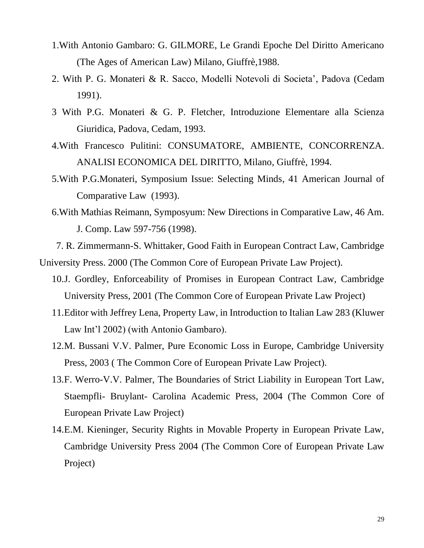- 1.With Antonio Gambaro: G. GILMORE, Le Grandi Epoche Del Diritto Americano (The Ages of American Law) Milano, Giuffrè,1988.
- 2. With P. G. Monateri & R. Sacco, Modelli Notevoli di Societa', Padova (Cedam 1991).
- 3 With P.G. Monateri & G. P. Fletcher, Introduzione Elementare alla Scienza Giuridica, Padova, Cedam, 1993.
- 4.With Francesco Pulitini: CONSUMATORE, AMBIENTE, CONCORRENZA. ANALISI ECONOMICA DEL DIRITTO, Milano, Giuffrè, 1994.
- 5.With P.G.Monateri, Symposium Issue: Selecting Minds, 41 American Journal of Comparative Law (1993).
- 6.With Mathias Reimann, Symposyum: New Directions in Comparative Law, 46 Am. J. Comp. Law 597-756 (1998).

 7. R. Zimmermann-S. Whittaker, Good Faith in European Contract Law, Cambridge University Press. 2000 (The Common Core of European Private Law Project).

- 10.J. Gordley, Enforceability of Promises in European Contract Law, Cambridge University Press, 2001 (The Common Core of European Private Law Project)
- 11.Editor with Jeffrey Lena, Property Law, in Introduction to Italian Law 283 (Kluwer Law Int'l 2002) (with Antonio Gambaro).
- 12.M. Bussani V.V. Palmer, Pure Economic Loss in Europe, Cambridge University Press, 2003 ( The Common Core of European Private Law Project).
- 13.F. Werro-V.V. Palmer, The Boundaries of Strict Liability in European Tort Law, Staempfli- Bruylant- Carolina Academic Press, 2004 (The Common Core of European Private Law Project)
- 14.E.M. Kieninger, Security Rights in Movable Property in European Private Law, Cambridge University Press 2004 (The Common Core of European Private Law Project)